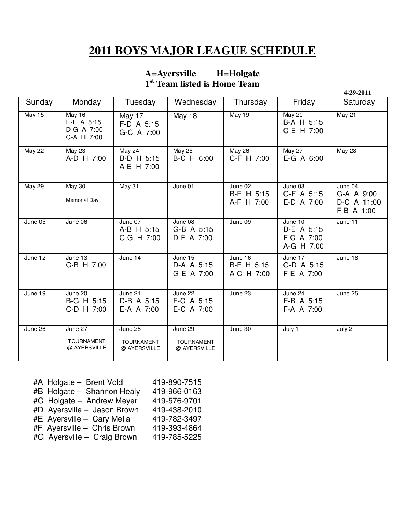## **2011 BOYS MAJOR LEAGUE SCHEDULE**

## **A=Ayersville H=Holgate 1 st Team listed is Home Team**

|               |                                                         |                                              |                                              |                                     |                                                   | 4-29-2011                                          |
|---------------|---------------------------------------------------------|----------------------------------------------|----------------------------------------------|-------------------------------------|---------------------------------------------------|----------------------------------------------------|
| Sunday        | Monday                                                  | Tuesday                                      | Wednesday                                    | Thursday                            | Friday                                            | Saturday                                           |
| <b>May 15</b> | <b>May 16</b><br>E-F A 5:15<br>D-G A 7:00<br>C-A H 7:00 | May 17<br>F-D A 5:15<br>G-C A 7:00           | <b>May 18</b>                                | May 19                              | <b>May 20</b><br>B-A H 5:15<br>C-E H 7:00         | May 21                                             |
| <b>May 22</b> | <b>May 23</b><br>A-D H 7:00                             | May 24<br>B-D H 5:15<br>A-E H 7:00           | <b>May 25</b><br>B-C H 6:00                  | <b>May 26</b><br>C-F H 7:00         | May 27<br>E-G A 6:00                              | <b>May 28</b>                                      |
| <b>May 29</b> | <b>May 30</b><br><b>Memorial Day</b>                    | May 31                                       | June 01                                      | June 02<br>B-E H 5:15<br>A-F H 7:00 | June 03<br>G-F A 5:15<br>E-D A 7:00               | June 04<br>G-A A 9:00<br>D-C A 11:00<br>F-B A 1:00 |
| June 05       | June 06                                                 | June 07<br>A-B H 5:15<br>C-G H 7:00          | June 08<br>G-B A 5:15<br>D-F A 7:00          | June 09                             | June 10<br>D-E A 5:15<br>F-C A 7:00<br>A-G H 7:00 | June 11                                            |
| June 12       | June 13<br>C-B H 7:00                                   | June 14                                      | June 15<br>D-A A 5:15<br>G-E A 7:00          | June 16<br>B-F H 5:15<br>A-C H 7:00 | June 17<br>G-D A 5:15<br>F-E A 7:00               | June 18                                            |
| June 19       | June 20<br>B-G H 5:15<br>C-D H 7:00                     | June 21<br>D-B A 5:15<br>E-A A 7:00          | June 22<br>F-G A 5:15<br>E-C A 7:00          | June 23                             | June 24<br>E-B A 5:15<br>F-A A 7:00               | June 25                                            |
| June 26       | June 27<br><b>TOURNAMENT</b><br>@ AYERSVILLE            | June 28<br><b>TOURNAMENT</b><br>@ AYERSVILLE | June 29<br><b>TOURNAMENT</b><br>@ AYERSVILLE | June 30                             | July 1                                            | July 2                                             |

| #A Holgate - Brent Vold     | 419-890-7515 |
|-----------------------------|--------------|
| #B Holgate - Shannon Healy  | 419-966-0163 |
| #C Holgate - Andrew Meyer   | 419-576-9701 |
| #D Ayersville - Jason Brown | 419-438-2010 |
| #E Ayersville - Cary Melia  | 419-782-3497 |
| #F Ayersville - Chris Brown | 419-393-4864 |
| #G Ayersville - Craig Brown | 419-785-5225 |